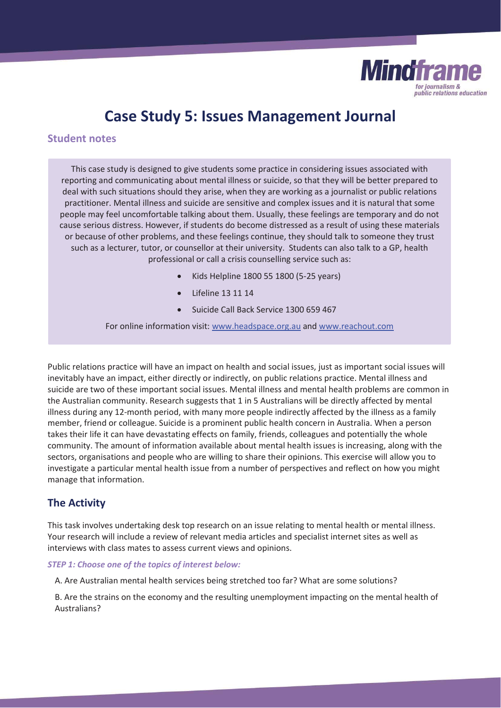

# **Case Study 5: Issues Management Journal**

### **Student notes**

This case study is designed to give students some practice in considering issues associated with reporting and communicating about mental illness or suicide, so that they will be better prepared to deal with such situations should they arise, when they are working as a journalist or public relations practitioner. Mental illness and suicide are sensitive and complex issues and it is natural that some people may feel uncomfortable talking about them. Usually, these feelings are temporary and do not cause serious distress. However, if students do become distressed as a result of using these materials or because of other problems, and these feelings continue, they should talk to someone they trust such as a lecturer, tutor, or counsellor at their university. Students can also talk to a GP, health professional or call a crisis counselling service such as:

- x Kids Helpline 1800 55 1800 (5-25 years)
- Lifeline 13 11 14
- x Suicide Call Back Service 1300 659 467

For online information visit: www.headspace.org.au and www.reachout.com

Public relations practice will have an impact on health and social issues, just as important social issues will inevitably have an impact, either directly or indirectly, on public relations practice. Mental illness and suicide are two of these important social issues. Mental illness and mental health problems are common in the Australian community. Research suggests that 1 in 5 Australians will be directly affected by mental illness during any 12-month period, with many more people indirectly affected by the illness as a family member, friend or colleague. Suicide is a prominent public health concern in Australia. When a person takes their life it can have devastating effects on family, friends, colleagues and potentially the whole community. The amount of information available about mental health issues is increasing, along with the sectors, organisations and people who are willing to share their opinions. This exercise will allow you to investigate a particular mental health issue from a number of perspectives and reflect on how you might manage that information.

# **The Activity**

This task involves undertaking desk top research on an issue relating to mental health or mental illness. Your research will include a review of relevant media articles and specialist internet sites as well as interviews with class mates to assess current views and opinions.

#### *STEP 1: Choose one of the topics of interest below:*

A. Are Australian mental health services being stretched too far? What are some solutions?

B. Are the strains on the economy and the resulting unemployment impacting on the mental health of Australians?